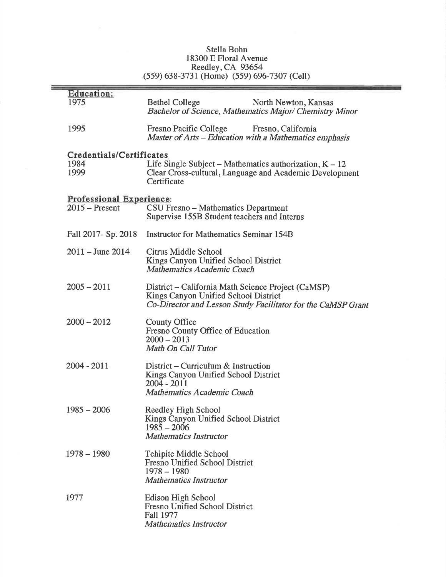## Stella Bohn<br>18300 E Floral Avenue<br>Reedley, CA 93654<br>(559) 638-3731 (Home) (559) 696-7307 (Cell)

| <b>Education:</b><br>1975                    | <b>Bethel College</b><br>North Newton, Kansas<br><b>Bachelor of Science, Mathematics Major/ Chemistry Minor</b>                                            |
|----------------------------------------------|------------------------------------------------------------------------------------------------------------------------------------------------------------|
| 1995                                         | Fresno Pacific College Fresno, California<br>Master of Arts – Education with a Mathematics emphasis                                                        |
| Credentials/Certificates<br>1984<br>1999     | Life Single Subject – Mathematics authorization, $K - 12$<br>Clear Cross-cultural, Language and Academic Development<br>Certificate                        |
| Professional Experience:<br>$2015$ – Present | CSU Fresno - Mathematics Department<br>Supervise 155B Student teachers and Interns                                                                         |
| Fall 2017- Sp. 2018                          | <b>Instructor for Mathematics Seminar 154B</b>                                                                                                             |
| $2011 -$ June 2014                           | Citrus Middle School<br>Kings Canyon Unified School District<br><b>Mathematics Academic Coach</b>                                                          |
| $2005 - 2011$                                | District – California Math Science Project (CaMSP)<br>Kings Canyon Unified School District<br>Co-Director and Lesson Study Facilitator for the CaMSP Grant |
| $2000 - 2012$                                | <b>County Office</b><br>Fresno County Office of Education<br>$2000 - 2013$<br>Math On Call Tutor                                                           |
| 2004 - 2011                                  | District – Curriculum $\&$ Instruction<br>Kings Canyon Unified School District<br>$2004 - 2011$<br><b>Mathematics Academic Coach</b>                       |
| $1985 - 2006$                                | Reedley High School<br>Kings Canyon Unified School District<br>$1985 - 2006$<br><b>Mathematics Instructor</b>                                              |
| $1978 - 1980$                                | Tehipite Middle School<br><b>Fresno Unified School District</b><br>$1978 - 1980$<br><b>Mathematics Instructor</b>                                          |
| 1977                                         | <b>Edison High School</b><br><b>Fresno Unified School District</b><br><b>Fall 1977</b><br><b>Mathematics Instructor</b>                                    |